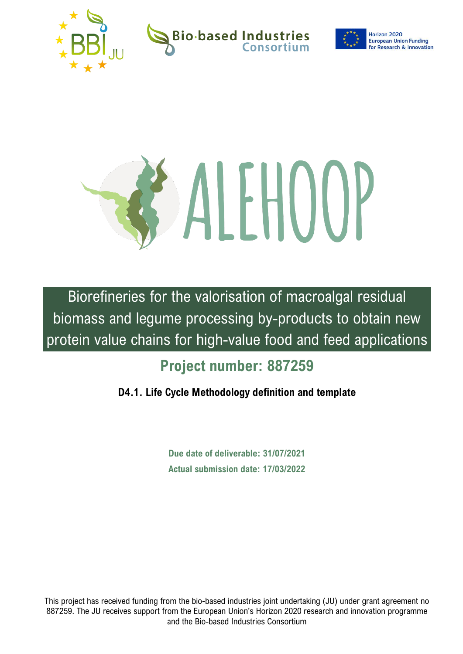

**Bio-based Industries** 

Horizon 2020 **European Union Funding for Research & Innovation** 



Biorefineries for the valorisation of macroalgal residual biomass and legume processing by-products to obtain new protein value chains for high-value food and feed applications

# **Project number: 887259**

## **D4.1. Life Cycle Methodology definition and template**

**Due date of deliverable: 31/07/2021 Actual submission date: 17/03/2022**

This project has received funding from the bio-based industries joint undertaking (JU) under grant agreement no 887259. The JU receives support from the European Union's Horizon 2020 research and innovation programme and the Bio-based Industries Consortium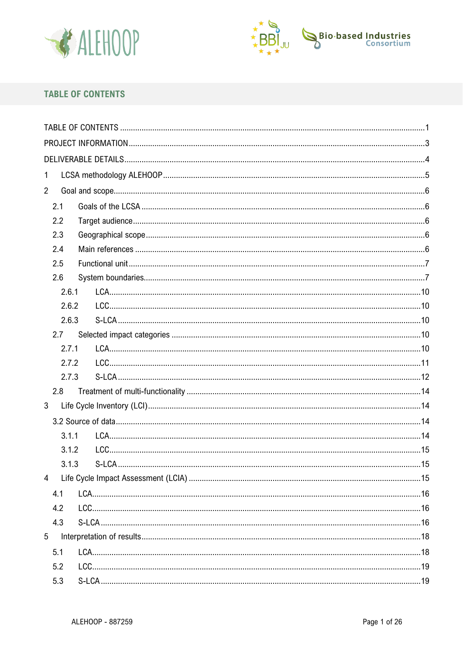



## <span id="page-1-0"></span>**TABLE OF CONTENTS**

| 1               |  |
|-----------------|--|
| $\overline{2}$  |  |
| 2.1             |  |
| 2.2             |  |
| 2.3             |  |
| 2.4             |  |
| 2.5             |  |
| 2.6             |  |
| 2.6.1           |  |
| 2.6.2           |  |
| 2.6.3           |  |
| 2.7             |  |
| 2.7.1           |  |
| 2.7.2           |  |
| 2.7.3           |  |
| 2.8             |  |
| 3               |  |
|                 |  |
| 3.1.1           |  |
| 3.1.2           |  |
| 3.1.3           |  |
| $\overline{4}$  |  |
| 4.1             |  |
| 4.2             |  |
| 4.3             |  |
| $5\overline{)}$ |  |
| 5.1             |  |
| 5.2             |  |
| 5.3             |  |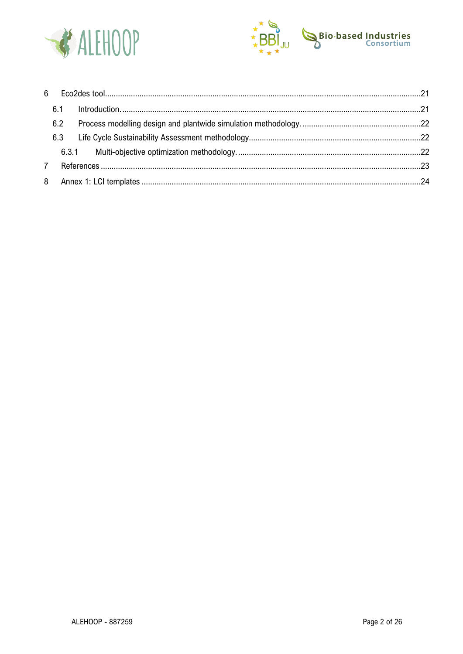



| 6.2 |  |
|-----|--|
| 6.3 |  |
|     |  |
|     |  |
|     |  |
|     |  |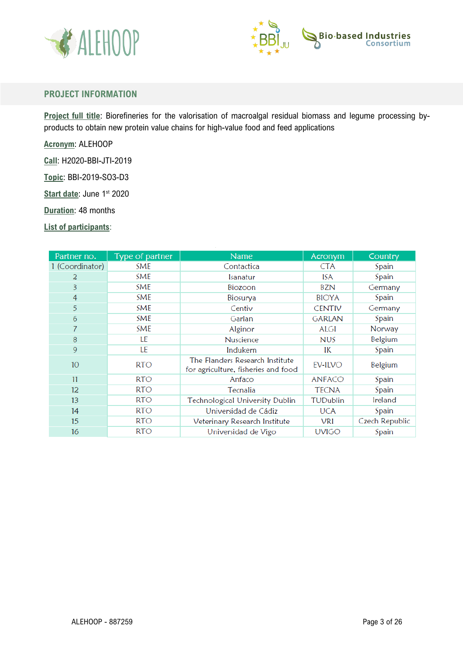



#### <span id="page-3-0"></span>**PROJECT INFORMATION**

**Project full title**: Biorefineries for the valorisation of macroalgal residual biomass and legume processing byproducts to obtain new protein value chains for high-value food and feed applications

**Acronym**: ALEHOOP

**Call**: H2020-BBI-JTI-2019

**Topic**: BBI-2019-SO3-D3

**Start date: June 1st 2020** 

**Duration**: 48 months

**List of participants**:

| Partner no.     | Type of partner | <b>Name</b>                                                            | Acronym       | Country        |
|-----------------|-----------------|------------------------------------------------------------------------|---------------|----------------|
| 1 (Coordinator) | SME             | Contactica                                                             | <b>CTA</b>    | Spain          |
| 2               | <b>SME</b>      | Isanatur                                                               | ISA           | Spain          |
| 3               | <b>SME</b>      | Biozoon                                                                | BZN           | Germany        |
| $\overline{4}$  | <b>SME</b>      | Biosurya                                                               | <b>BIOYA</b>  | Spain          |
| 5               | SME             | Centiv                                                                 | CENTIV        | Germany        |
| 6               | <b>SME</b>      | Garlan                                                                 | GARLAN        | Spain          |
| 7               | <b>SME</b>      | Alginor                                                                | <b>ALGI</b>   | Norway         |
| 8               | LE              | Nuscience                                                              | <b>NUS</b>    | Belgium        |
| 9               | LE              | Indukern                                                               | IК            | Spain          |
| 10 <sup>°</sup> | <b>RTO</b>      | The Flanders Research Institute<br>for agriculture, fisheries and food | EV-ILVO       | Belgium        |
| 11              | <b>RTO</b>      | Anfaco                                                                 | <b>ANFACO</b> | Spain          |
| 12 <sup>°</sup> | <b>RTO</b>      | Tecnalia                                                               | <b>TECNA</b>  | Spain          |
| 13              | <b>RTO</b>      | <b>Technological University Dublin</b>                                 | TUDublin      | Ireland        |
| 14              | <b>RTO</b>      | Universidad de Cádiz                                                   | <b>UCA</b>    | Spain          |
| 15              | RTO             | Veterinary Research Institute                                          | VRI           | Czech Republic |
| 16              | <b>RTO</b>      | Universidad de Vigo                                                    | <b>UVIGO</b>  | Spain          |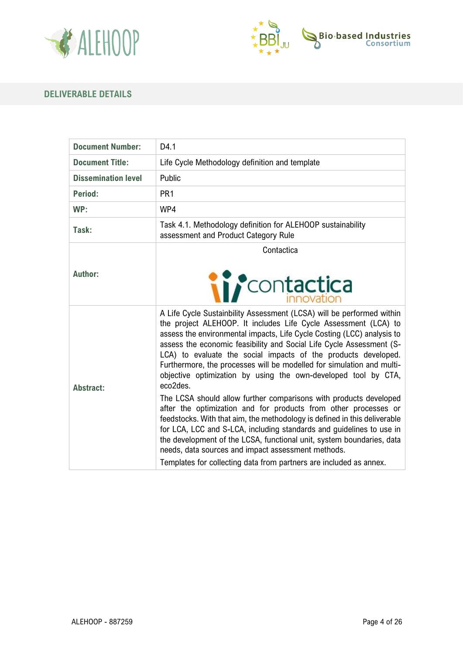



## <span id="page-4-0"></span>**DELIVERABLE DETAILS**

| <b>Document Number:</b>    | D4.1                                                                                                                                                                                                                                                                                                                                                                                                                                                                                                                                                                                                                                                                                                                                                                                                                                                                                                                                                                                                                  |
|----------------------------|-----------------------------------------------------------------------------------------------------------------------------------------------------------------------------------------------------------------------------------------------------------------------------------------------------------------------------------------------------------------------------------------------------------------------------------------------------------------------------------------------------------------------------------------------------------------------------------------------------------------------------------------------------------------------------------------------------------------------------------------------------------------------------------------------------------------------------------------------------------------------------------------------------------------------------------------------------------------------------------------------------------------------|
| <b>Document Title:</b>     | Life Cycle Methodology definition and template                                                                                                                                                                                                                                                                                                                                                                                                                                                                                                                                                                                                                                                                                                                                                                                                                                                                                                                                                                        |
| <b>Dissemination level</b> | Public                                                                                                                                                                                                                                                                                                                                                                                                                                                                                                                                                                                                                                                                                                                                                                                                                                                                                                                                                                                                                |
| Period:                    | PR <sub>1</sub>                                                                                                                                                                                                                                                                                                                                                                                                                                                                                                                                                                                                                                                                                                                                                                                                                                                                                                                                                                                                       |
| WP:                        | WP4                                                                                                                                                                                                                                                                                                                                                                                                                                                                                                                                                                                                                                                                                                                                                                                                                                                                                                                                                                                                                   |
| Task:                      | Task 4.1. Methodology definition for ALEHOOP sustainability<br>assessment and Product Category Rule                                                                                                                                                                                                                                                                                                                                                                                                                                                                                                                                                                                                                                                                                                                                                                                                                                                                                                                   |
| <b>Author:</b>             | Contactica<br><i>ii contactica</i>                                                                                                                                                                                                                                                                                                                                                                                                                                                                                                                                                                                                                                                                                                                                                                                                                                                                                                                                                                                    |
| <b>Abstract:</b>           | A Life Cycle Sustainbility Assessment (LCSA) will be performed within<br>the project ALEHOOP. It includes Life Cycle Assessment (LCA) to<br>assess the environmental impacts, Life Cycle Costing (LCC) analysis to<br>assess the economic feasibility and Social Life Cycle Assessment (S-<br>LCA) to evaluate the social impacts of the products developed.<br>Furthermore, the processes will be modelled for simulation and multi-<br>objective optimization by using the own-developed tool by CTA,<br>eco2des.<br>The LCSA should allow further comparisons with products developed<br>after the optimization and for products from other processes or<br>feedstocks. With that aim, the methodology is defined in this deliverable<br>for LCA, LCC and S-LCA, including standards and guidelines to use in<br>the development of the LCSA, functional unit, system boundaries, data<br>needs, data sources and impact assessment methods.<br>Templates for collecting data from partners are included as annex. |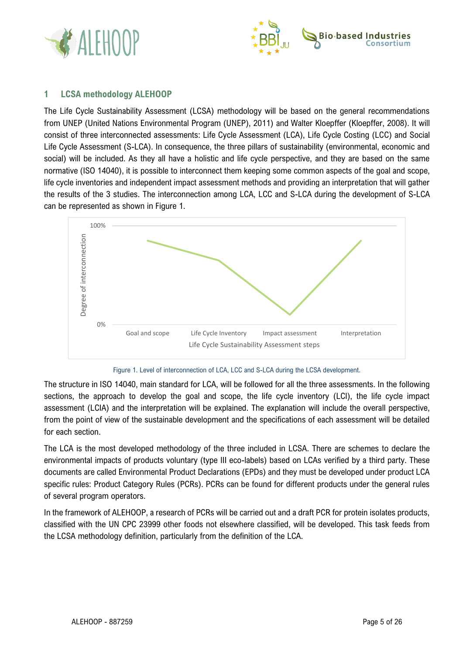



## <span id="page-5-0"></span>**1 LCSA methodology ALEHOOP**

The Life Cycle Sustainability Assessment (LCSA) methodology will be based on the general recommendations from UNEP (United Nations Environmental Program (UNEP), 2011) and Walter Kloepffer (Kloepffer, 2008). It will consist of three interconnected assessments: Life Cycle Assessment (LCA), Life Cycle Costing (LCC) and Social Life Cycle Assessment (S-LCA). In consequence, the three pillars of sustainability (environmental, economic and social) will be included. As they all have a holistic and life cycle perspective, and they are based on the same normative (ISO 14040), it is possible to interconnect them keeping some common aspects of the goal and scope, life cycle inventories and independent impact assessment methods and providing an interpretation that will gather the results of the 3 studies. The interconnection among LCA, LCC and S-LCA during the development of S-LCA can be represented as shown in Figure 1.





The structure in ISO 14040, main standard for LCA, will be followed for all the three assessments. In the following sections, the approach to develop the goal and scope, the life cycle inventory (LCI), the life cycle impact assessment (LCIA) and the interpretation will be explained. The explanation will include the overall perspective, from the point of view of the sustainable development and the specifications of each assessment will be detailed for each section.

The LCA is the most developed methodology of the three included in LCSA. There are schemes to declare the environmental impacts of products voluntary (type III eco-labels) based on LCAs verified by a third party. These documents are called Environmental Product Declarations (EPDs) and they must be developed under product LCA specific rules: Product Category Rules (PCRs). PCRs can be found for different products under the general rules of several program operators.

In the framework of ALEHOOP, a research of PCRs will be carried out and a draft PCR for protein isolates products, classified with the UN CPC 23999 other foods not elsewhere classified, will be developed. This task feeds from the LCSA methodology definition, particularly from the definition of the LCA.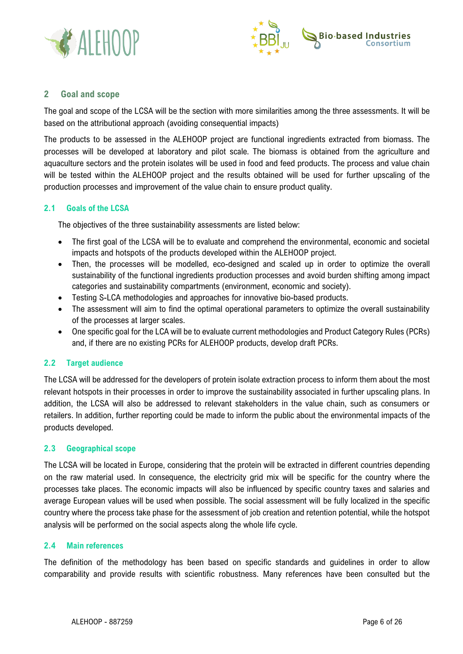



## <span id="page-6-0"></span>**2 Goal and scope**

The goal and scope of the LCSA will be the section with more similarities among the three assessments. It will be based on the attributional approach (avoiding consequential impacts)

The products to be assessed in the ALEHOOP project are functional ingredients extracted from biomass. The processes will be developed at laboratory and pilot scale. The biomass is obtained from the agriculture and aquaculture sectors and the protein isolates will be used in food and feed products. The process and value chain will be tested within the ALEHOOP project and the results obtained will be used for further upscaling of the production processes and improvement of the value chain to ensure product quality.

#### <span id="page-6-1"></span>**2.1 Goals of the LCSA**

The objectives of the three sustainability assessments are listed below:

- The first goal of the LCSA will be to evaluate and comprehend the environmental, economic and societal impacts and hotspots of the products developed within the ALEHOOP project.
- Then, the processes will be modelled, eco-designed and scaled up in order to optimize the overall sustainability of the functional ingredients production processes and avoid burden shifting among impact categories and sustainability compartments (environment, economic and society).
- Testing S-LCA methodologies and approaches for innovative bio-based products.
- The assessment will aim to find the optimal operational parameters to optimize the overall sustainability of the processes at larger scales.
- One specific goal for the LCA will be to evaluate current methodologies and Product Category Rules (PCRs) and, if there are no existing PCRs for ALEHOOP products, develop draft PCRs.

## <span id="page-6-2"></span>**2.2 Target audience**

The LCSA will be addressed for the developers of protein isolate extraction process to inform them about the most relevant hotspots in their processes in order to improve the sustainability associated in further upscaling plans. In addition, the LCSA will also be addressed to relevant stakeholders in the value chain, such as consumers or retailers. In addition, further reporting could be made to inform the public about the environmental impacts of the products developed.

#### <span id="page-6-3"></span>**2.3 Geographical scope**

The LCSA will be located in Europe, considering that the protein will be extracted in different countries depending on the raw material used. In consequence, the electricity grid mix will be specific for the country where the processes take places. The economic impacts will also be influenced by specific country taxes and salaries and average European values will be used when possible. The social assessment will be fully localized in the specific country where the process take phase for the assessment of job creation and retention potential, while the hotspot analysis will be performed on the social aspects along the whole life cycle.

#### <span id="page-6-4"></span>**2.4 Main references**

The definition of the methodology has been based on specific standards and guidelines in order to allow comparability and provide results with scientific robustness. Many references have been consulted but the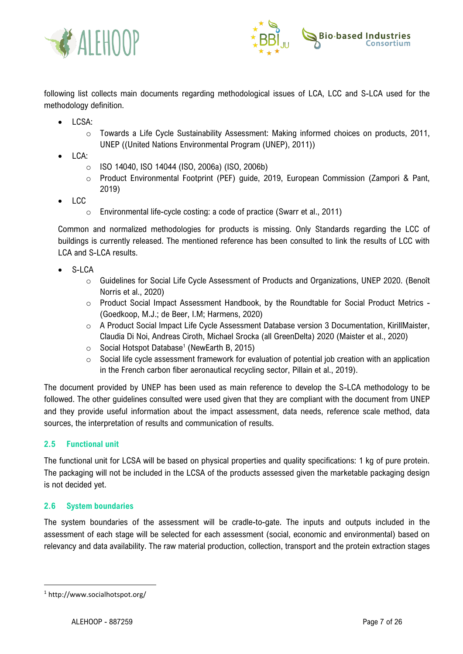



following list collects main documents regarding methodological issues of LCA, LCC and S-LCA used for the methodology definition.

- LCSA:
	- o Towards a Life Cycle Sustainability Assessment: Making informed choices on products, 2011, UNEP ((United Nations Environmental Program (UNEP), 2011))
- LCA:
	- o ISO 14040, ISO 14044 (ISO, 2006a) (ISO, 2006b)
	- Product Environmental Footprint (PEF) guide, 2019, European Commission (Zampori & Pant, 2019)
- LCC
	- o Environmental life-cycle costing: a code of practice (Swarr et al., 2011)

Common and normalized methodologies for products is missing. Only Standards regarding the LCC of buildings is currently released. The mentioned reference has been consulted to link the results of LCC with LCA and S-LCA results.

- S-LCA
	- $\circ$  Guidelines for Social Life Cycle Assessment of Products and Organizations, UNEP 2020. (Benoît Norris et al., 2020)
	- o Product Social Impact Assessment Handbook, by the Roundtable for Social Product Metrics (Goedkoop, M.J.; de Beer, I.M; Harmens, 2020)
	- o A Product Social Impact Life Cycle Assessment Database version 3 Documentation, KirillMaister, Claudia Di Noi, Andreas Ciroth, Michael Srocka (all GreenDelta) 2020 (Maister et al., 2020)
	- $\circ$  Social Hotspot Database<sup>1</sup> (NewEarth B, 2015)
	- $\circ$  Social life cycle assessment framework for evaluation of potential job creation with an application in the French carbon fiber aeronautical recycling sector, Pillain et al., 2019).

The document provided by UNEP has been used as main reference to develop the S-LCA methodology to be followed. The other guidelines consulted were used given that they are compliant with the document from UNEP and they provide useful information about the impact assessment, data needs, reference scale method, data sources, the interpretation of results and communication of results.

#### <span id="page-7-0"></span>**2.5 Functional unit**

The functional unit for LCSA will be based on physical properties and quality specifications: 1 kg of pure protein. The packaging will not be included in the LCSA of the products assessed given the marketable packaging design is not decided yet.

## <span id="page-7-1"></span>**2.6 System boundaries**

The system boundaries of the assessment will be cradle-to-gate. The inputs and outputs included in the assessment of each stage will be selected for each assessment (social, economic and environmental) based on relevancy and data availability. The raw material production, collection, transport and the protein extraction stages

<sup>1</sup> http://www.socialhotspot.org/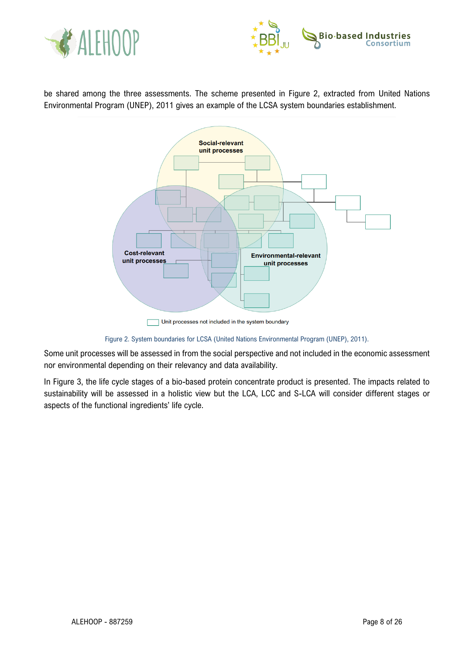



be shared among the three assessments. The scheme presented in Figure 2, extracted from United Nations Environmental Program (UNEP), 2011 gives an example of the LCSA system boundaries establishment.



Unit processes not included in the system boundary

Figure 2. System boundaries for LCSA (United Nations Environmental Program (UNEP), 2011).

Some unit processes will be assessed in from the social perspective and not included in the economic assessment nor environmental depending on their relevancy and data availability.

In Figure 3, the life cycle stages of a bio-based protein concentrate product is presented. The impacts related to sustainability will be assessed in a holistic view but the LCA, LCC and S-LCA will consider different stages or aspects of the functional ingredients' life cycle.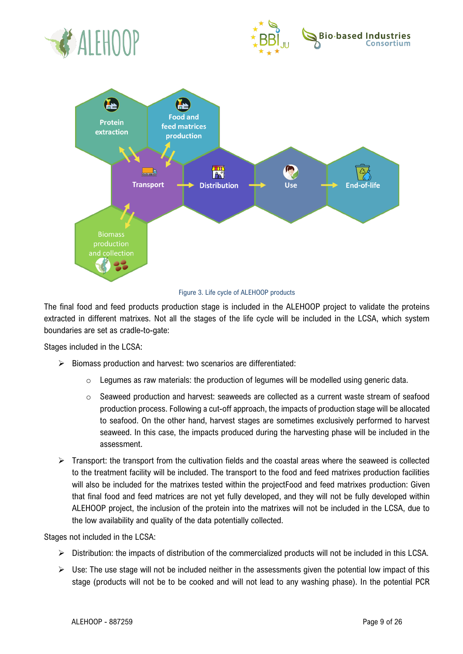





#### Figure 3. Life cycle of ALEHOOP products

The final food and feed products production stage is included in the ALEHOOP project to validate the proteins extracted in different matrixes. Not all the stages of the life cycle will be included in the LCSA, which system boundaries are set as cradle-to-gate:

Stages included in the LCSA:

- $\triangleright$  Biomass production and harvest: two scenarios are differentiated:
	- o Legumes as raw materials: the production of legumes will be modelled using generic data.
	- $\circ$  Seaweed production and harvest: seaweeds are collected as a current waste stream of seafood production process. Following a cut-off approach, the impacts of production stage will be allocated to seafood. On the other hand, harvest stages are sometimes exclusively performed to harvest seaweed. In this case, the impacts produced during the harvesting phase will be included in the assessment.
- ➢ Transport: the transport from the cultivation fields and the coastal areas where the seaweed is collected to the treatment facility will be included. The transport to the food and feed matrixes production facilities will also be included for the matrixes tested within the projectFood and feed matrixes production: Given that final food and feed matrices are not yet fully developed, and they will not be fully developed within ALEHOOP project, the inclusion of the protein into the matrixes will not be included in the LCSA, due to the low availability and quality of the data potentially collected.

Stages not included in the LCSA:

- ➢ Distribution: the impacts of distribution of the commercialized products will not be included in this LCSA.
- $\triangleright$  Use: The use stage will not be included neither in the assessments given the potential low impact of this stage (products will not be to be cooked and will not lead to any washing phase). In the potential PCR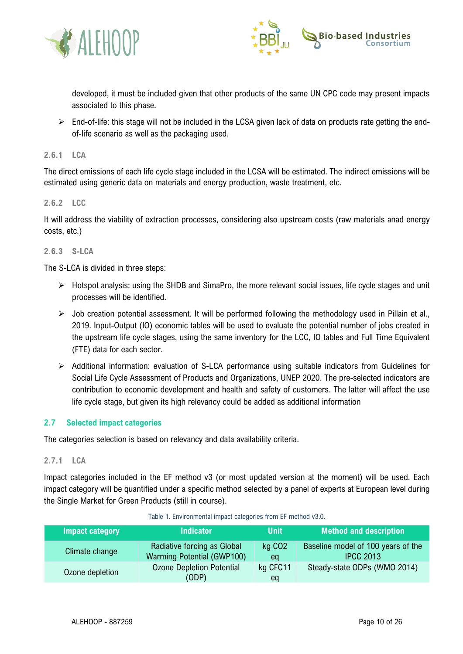



developed, it must be included given that other products of the same UN CPC code may present impacts associated to this phase.

➢ End-of-life: this stage will not be included in the LCSA given lack of data on products rate getting the endof-life scenario as well as the packaging used.

#### <span id="page-10-0"></span>**2.6.1 LCA**

The direct emissions of each life cycle stage included in the LCSA will be estimated. The indirect emissions will be estimated using generic data on materials and energy production, waste treatment, etc.

#### <span id="page-10-1"></span>**2.6.2 LCC**

It will address the viability of extraction processes, considering also upstream costs (raw materials anad energy costs, etc.)

#### <span id="page-10-2"></span>**2.6.3 S-LCA**

The S-LCA is divided in three steps:

- ➢ Hotspot analysis: using the SHDB and SimaPro, the more relevant social issues, life cycle stages and unit processes will be identified.
- $\triangleright$  Job creation potential assessment. It will be performed following the methodology used in Pillain et al., 2019. Input-Output (IO) economic tables will be used to evaluate the potential number of jobs created in the upstream life cycle stages, using the same inventory for the LCC, IO tables and Full Time Equivalent (FTE) data for each sector.
- ➢ Additional information: evaluation of S-LCA performance using suitable indicators from Guidelines for Social Life Cycle Assessment of Products and Organizations, UNEP 2020. The pre-selected indicators are contribution to economic development and health and safety of customers. The latter will affect the use life cycle stage, but given its high relevancy could be added as additional information

#### <span id="page-10-3"></span>**2.7 Selected impact categories**

The categories selection is based on relevancy and data availability criteria.

#### <span id="page-10-4"></span>**2.7.1 LCA**

Impact categories included in the EF method v3 (or most updated version at the moment) will be used. Each impact category will be quantified under a specific method selected by a panel of experts at European level during the Single Market for Green Products (still in course).

| Impact category | <b>Indicator</b>                                                 | <b>Unit</b>              | <b>Method and description</b>                          |
|-----------------|------------------------------------------------------------------|--------------------------|--------------------------------------------------------|
| Climate change  | Radiative forcing as Global<br><b>Warming Potential (GWP100)</b> | kg CO <sub>2</sub><br>ea | Baseline model of 100 years of the<br><b>IPCC 2013</b> |
| Ozone depletion | <b>Ozone Depletion Potential</b><br>(ODP)                        | kg CFC11<br>eq           | Steady-state ODPs (WMO 2014)                           |

#### Table 1. Environmental impact categories from EF method v3.0.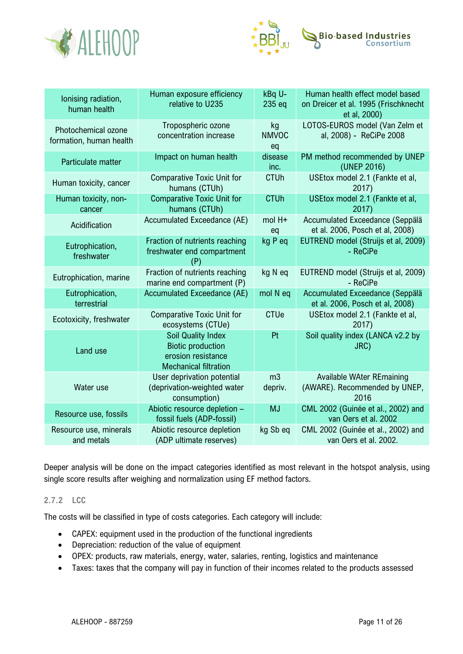



| lonising radiation,<br>human health            | Human exposure efficiency<br>relative to U235                                                               | kBq U-<br>235 eq          | Human health effect model based<br>on Dreicer et al. 1995 (Frischknecht   |
|------------------------------------------------|-------------------------------------------------------------------------------------------------------------|---------------------------|---------------------------------------------------------------------------|
|                                                |                                                                                                             |                           | et al, 2000)                                                              |
| Photochemical ozone<br>formation, human health | Tropospheric ozone<br>concentration increase                                                                | kg<br><b>NMVOC</b><br>eq  | LOTOS-EUROS model (Van Zelm et<br>al, 2008) - ReCiPe 2008                 |
| Particulate matter                             | Impact on human health                                                                                      | disease<br>inc.           | PM method recommended by UNEP<br>(UNEP 2016)                              |
| Human toxicity, cancer                         | <b>Comparative Toxic Unit for</b><br>humans (CTUh)                                                          | <b>CTUh</b>               | USEtox model 2.1 (Fankte et al,<br>2017)                                  |
| Human toxicity, non-<br>cancer                 | <b>Comparative Toxic Unit for</b><br>humans (CTUh)                                                          | <b>CTUh</b>               | USEtox model 2.1 (Fankte et al,<br>2017)                                  |
| Acidification                                  | Accumulated Exceedance (AE)                                                                                 | mol H+<br>eq              | Accumulated Exceedance (Seppälä<br>et al. 2006, Posch et al, 2008)        |
| Eutrophication,<br>freshwater                  | Fraction of nutrients reaching<br>freshwater end compartment<br>(P)                                         | kg P eq                   | EUTREND model (Struijs et al, 2009)<br>- ReCiPe                           |
| Eutrophication, marine                         | Fraction of nutrients reaching<br>marine end compartment (P)                                                | kg N eq                   | EUTREND model (Struijs et al, 2009)<br>- ReCiPe                           |
| Eutrophication,<br>terrestrial                 | Accumulated Exceedance (AE)                                                                                 | mol N eq                  | Accumulated Exceedance (Seppälä<br>et al. 2006, Posch et al, 2008)        |
| Ecotoxicity, freshwater                        | <b>Comparative Toxic Unit for</b><br>ecosystems (CTUe)                                                      | <b>CTUe</b>               | USEtox model 2.1 (Fankte et al,<br>2017)                                  |
| Land use                                       | <b>Soil Quality Index</b><br><b>Biotic production</b><br>erosion resistance<br><b>Mechanical filtration</b> | Pt                        | Soil quality index (LANCA v2.2 by<br>JRC)                                 |
| Water use                                      | User deprivation potential<br>(deprivation-weighted water<br>consumption)                                   | m <sub>3</sub><br>depriv. | <b>Available WAter REmaining</b><br>(AWARE). Recommended by UNEP,<br>2016 |
| Resource use, fossils                          | Abiotic resource depletion -<br>fossil fuels (ADP-fossil)                                                   | <b>MJ</b>                 | CML 2002 (Guinée et al., 2002) and<br>van Oers et al. 2002                |
| Resource use, minerals<br>and metals           | Abiotic resource depletion<br>(ADP ultimate reserves)                                                       | kg Sb eq                  | CML 2002 (Guinée et al., 2002) and<br>van Oers et al. 2002.               |

Deeper analysis will be done on the impact categories identified as most relevant in the hotspot analysis, using single score results after weighing and normalization using EF method factors.

## <span id="page-11-0"></span>**2.7.2 LCC**

The costs will be classified in type of costs categories. Each category will include:

- CAPEX: equipment used in the production of the functional ingredients
- Depreciation: reduction of the value of equipment
- OPEX: products, raw materials, energy, water, salaries, renting, logistics and maintenance
- Taxes: taxes that the company will pay in function of their incomes related to the products assessed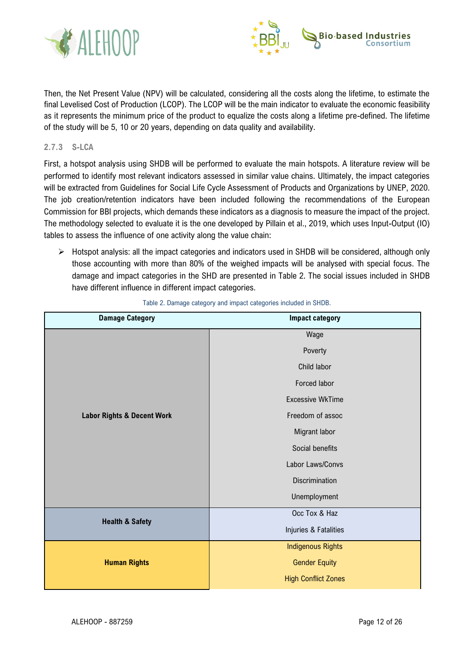



Then, the Net Present Value (NPV) will be calculated, considering all the costs along the lifetime, to estimate the final Levelised Cost of Production (LCOP). The LCOP will be the main indicator to evaluate the economic feasibility as it represents the minimum price of the product to equalize the costs along a lifetime pre-defined. The lifetime of the study will be 5, 10 or 20 years, depending on data quality and availability.

#### <span id="page-12-0"></span>**2.7.3 S-LCA**

First, a hotspot analysis using SHDB will be performed to evaluate the main hotspots. A literature review will be performed to identify most relevant indicators assessed in similar value chains. Ultimately, the impact categories will be extracted from Guidelines for Social Life Cycle Assessment of Products and Organizations by UNEP, 2020. The job creation/retention indicators have been included following the recommendations of the European Commission for BBI projects, which demands these indicators as a diagnosis to measure the impact of the project. The methodology selected to evaluate it is the one developed by Pillain et al., 2019, which uses Input-Output (IO) tables to assess the influence of one activity along the value chain:

➢ Hotspot analysis: all the impact categories and indicators used in SHDB will be considered, although only those accounting with more than 80% of the weighed impacts will be analysed with special focus. The damage and impact categories in the SHD are presented in [Table 2.](#page-12-1) The social issues included in SHDB have different influence in different impact categories.

<span id="page-12-1"></span>

| <b>Damage Category</b>                | <b>Impact category</b>     |
|---------------------------------------|----------------------------|
|                                       | Wage                       |
|                                       | Poverty                    |
|                                       | Child labor                |
|                                       | Forced labor               |
|                                       | <b>Excessive WkTime</b>    |
| <b>Labor Rights &amp; Decent Work</b> | Freedom of assoc           |
|                                       | Migrant labor              |
|                                       | Social benefits            |
|                                       | Labor Laws/Convs           |
|                                       | Discrimination             |
|                                       | Unemployment               |
| <b>Health &amp; Safety</b>            | Occ Tox & Haz              |
|                                       | Injuries & Fatalities      |
|                                       | <b>Indigenous Rights</b>   |
| <b>Human Rights</b>                   | <b>Gender Equity</b>       |
|                                       | <b>High Conflict Zones</b> |

Table 2. Damage category and impact categories included in SHDB.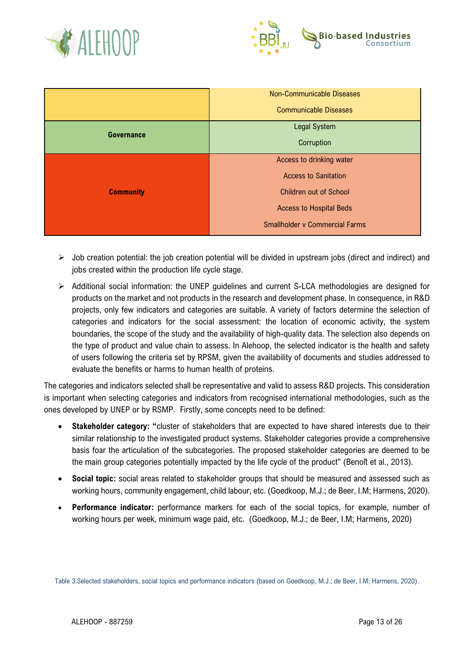



|                   | <b>Non-Communicable Diseases</b>      |  |
|-------------------|---------------------------------------|--|
|                   | <b>Communicable Diseases</b>          |  |
|                   | <b>Legal System</b>                   |  |
| <b>Governance</b> | Corruption                            |  |
|                   | Access to drinking water              |  |
|                   | <b>Access to Sanitation</b>           |  |
| <b>Community</b>  | <b>Children out of School</b>         |  |
|                   | <b>Access to Hospital Beds</b>        |  |
|                   | <b>Smallholder v Commercial Farms</b> |  |

- ➢ Job creation potential: the job creation potential will be divided in upstream jobs (direct and indirect) and jobs created within the production life cycle stage.
- ➢ Additional social information: the UNEP guidelines and current S-LCA methodologies are designed for products on the market and not products in the research and development phase. In consequence, in R&D projects, only few indicators and categories are suitable. A variety of factors determine the selection of categories and indicators for the social assessment: the location of economic activity, the system boundaries, the scope of the study and the availability of high-quality data. The selection also depends on the type of product and value chain to assess. In Alehoop, the selected indicator is the health and safety of users following the criteria set by RPSM, given the availability of documents and studies addressed to evaluate the benefits or harms to human health of proteins.

The categories and indicators selected shall be representative and valid to assess R&D projects. This consideration is important when selecting categories and indicators from recognised international methodologies, such as the ones developed by UNEP or by RSMP. Firstly, some concepts need to be defined:

- **Stakeholder category: "**cluster of stakeholders that are expected to have shared interests due to their similar relationship to the investigated product systems. Stakeholder categories provide a comprehensive basis foar the articulation of the subcategories. The proposed stakeholder categories are deemed to be the main group categories potentially impacted by the life cycle of the product" (Benoît et al., 2013).
- **Social topic:** social areas related to stakeholder groups that should be measured and assessed such as working hours, community engagement, child labour, etc. (Goedkoop, M.J.; de Beer, I.M; Harmens, 2020).
- **Performance indicator:** performance markers for each of the social topics, for example, number of working hours per week, minimum wage paid, etc. (Goedkoop, M.J.; de Beer, I.M; Harmens, 2020)

Table 3.Selected stakeholders, social topics and performance indicators (based on Goedkoop, M.J.; de Beer, I.M; Harmens, 2020).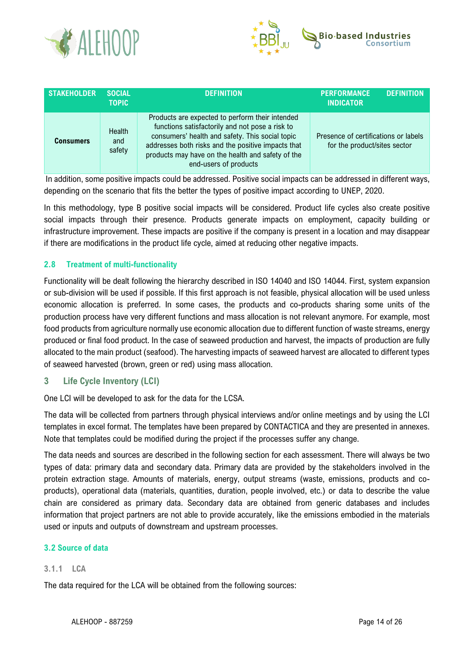



| <b>STAKEHOLDER</b> | <b>SOCIAL</b><br><b>TOPIC</b> | <b>DEFINITION</b>                                                                                                                                                                                                                                                                         | <b>PERFORMANCE</b><br><b>INDICATOR</b>                               | <b>DEFINITION</b> |
|--------------------|-------------------------------|-------------------------------------------------------------------------------------------------------------------------------------------------------------------------------------------------------------------------------------------------------------------------------------------|----------------------------------------------------------------------|-------------------|
| Consumers          | Health<br>and<br>safety       | Products are expected to perform their intended<br>functions satisfactorily and not pose a risk to<br>consumers' health and safety. This social topic<br>addresses both risks and the positive impacts that<br>products may have on the health and safety of the<br>end-users of products | Presence of certifications or labels<br>for the product/sites sector |                   |

In addition, some positive impacts could be addressed. Positive social impacts can be addressed in different ways, depending on the scenario that fits the better the types of positive impact according to UNEP, 2020.

In this methodology, type B positive social impacts will be considered. Product life cycles also create positive social impacts through their presence. Products generate impacts on employment, capacity building or infrastructure improvement. These impacts are positive if the company is present in a location and may disappear if there are modifications in the product life cycle, aimed at reducing other negative impacts.

## <span id="page-14-0"></span>**2.8 Treatment of multi-functionality**

Functionality will be dealt following the hierarchy described in ISO 14040 and ISO 14044. First, system expansion or sub-division will be used if possible. If this first approach is not feasible, physical allocation will be used unless economic allocation is preferred. In some cases, the products and co-products sharing some units of the production process have very different functions and mass allocation is not relevant anymore. For example, most food products from agriculture normally use economic allocation due to different function of waste streams, energy produced or final food product. In the case of seaweed production and harvest, the impacts of production are fully allocated to the main product (seafood). The harvesting impacts of seaweed harvest are allocated to different types of seaweed harvested (brown, green or red) using mass allocation.

## <span id="page-14-1"></span>**3 Life Cycle Inventory (LCI)**

One LCI will be developed to ask for the data for the LCSA.

The data will be collected from partners through physical interviews and/or online meetings and by using the LCI templates in excel format. The templates have been prepared by CONTACTICA and they are presented in annexes. Note that templates could be modified during the project if the processes suffer any change.

The data needs and sources are described in the following section for each assessment. There will always be two types of data: primary data and secondary data. Primary data are provided by the stakeholders involved in the protein extraction stage. Amounts of materials, energy, output streams (waste, emissions, products and coproducts), operational data (materials, quantities, duration, people involved, etc.) or data to describe the value chain are considered as primary data. Secondary data are obtained from generic databases and includes information that project partners are not able to provide accurately, like the emissions embodied in the materials used or inputs and outputs of downstream and upstream processes.

## <span id="page-14-2"></span>**3.2 Source of data**

## <span id="page-14-3"></span>**3.1.1 LCA**

The data required for the LCA will be obtained from the following sources: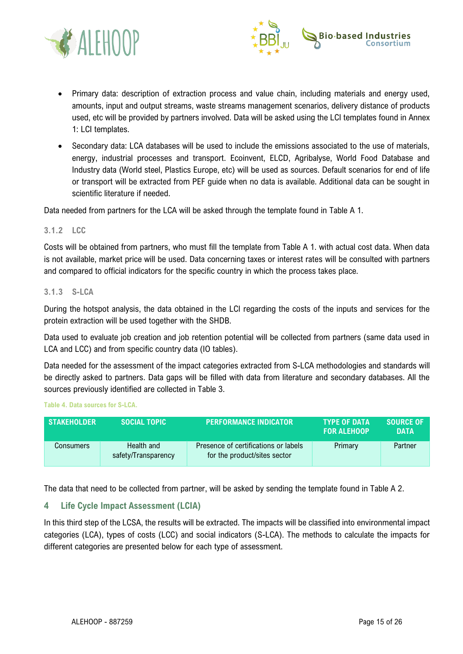



- Primary data: description of extraction process and value chain, including materials and energy used, amounts, input and output streams, waste streams management scenarios, delivery distance of products used, etc will be provided by partners involved. Data will be asked using the LCI templates found in Annex 1: LCI templates.
- Secondary data: LCA databases will be used to include the emissions associated to the use of materials, energy, industrial processes and transport. Ecoinvent, ELCD, Agribalyse, World Food Database and Industry data (World steel, Plastics Europe, etc) will be used as sources. Default scenarios for end of life or transport will be extracted from PEF guide when no data is available. Additional data can be sought in scientific literature if needed.

Data needed from partners for the LCA will be asked through the template found in Table A 1.

#### <span id="page-15-0"></span>**3.1.2 LCC**

Costs will be obtained from partners, who must fill the template from Table A 1. with actual cost data. When data is not available, market price will be used. Data concerning taxes or interest rates will be consulted with partners and compared to official indicators for the specific country in which the process takes place.

#### <span id="page-15-1"></span>**3.1.3 S-LCA**

During the hotspot analysis, the data obtained in the LCI regarding the costs of the inputs and services for the protein extraction will be used together with the SHDB.

Data used to evaluate job creation and job retention potential will be collected from partners (same data used in LCA and LCC) and from specific country data (IO tables).

Data needed for the assessment of the impact categories extracted from S-LCA methodologies and standards will be directly asked to partners. Data gaps will be filled with data from literature and secondary databases. All the sources previously identified are collected in Table 3.

**Table 4. Data sources for S-LCA.**

| <b>STAKEHOLDER</b> | SOCIAL TOPIC                      | <b>PERFORMANCE INDICATOR</b>                                         | <b>TYPE OF DATA</b><br><b>FOR ALEHOOP</b> | <b>SOURCE OF</b><br><b>DATA</b> |
|--------------------|-----------------------------------|----------------------------------------------------------------------|-------------------------------------------|---------------------------------|
| Consumers          | Health and<br>safety/Transparency | Presence of certifications or labels<br>for the product/sites sector | Primary                                   | Partner                         |

The data that need to be collected from partner, will be asked by sending the template found in Table A 2.

## <span id="page-15-2"></span>**4 Life Cycle Impact Assessment (LCIA)**

In this third step of the LCSA, the results will be extracted. The impacts will be classified into environmental impact categories (LCA), types of costs (LCC) and social indicators (S-LCA). The methods to calculate the impacts for different categories are presented below for each type of assessment.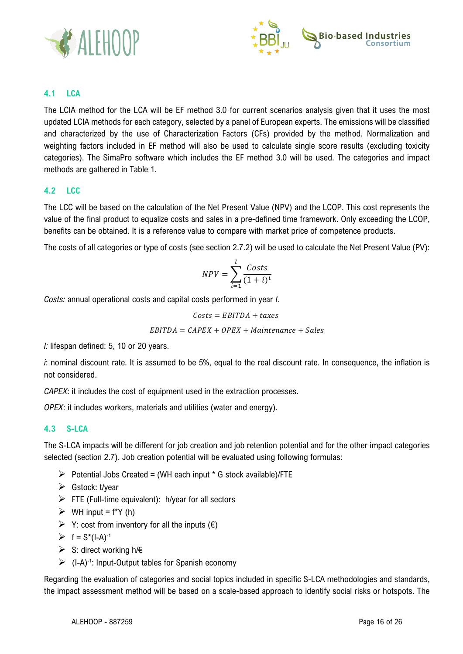



## <span id="page-16-0"></span>**4.1 LCA**

The LCIA method for the LCA will be EF method 3.0 for current scenarios analysis given that it uses the most updated LCIA methods for each category, selected by a panel of European experts. The emissions will be classified and characterized by the use of Characterization Factors (CFs) provided by the method. Normalization and weighting factors included in EF method will also be used to calculate single score results (excluding toxicity categories). The SimaPro software which includes the EF method 3.0 will be used. The categories and impact methods are gathered in Table 1.

## <span id="page-16-1"></span>**4.2 LCC**

The LCC will be based on the calculation of the Net Present Value (NPV) and the LCOP. This cost represents the value of the final product to equalize costs and sales in a pre-defined time framework. Only exceeding the LCOP, benefits can be obtained. It is a reference value to compare with market price of competence products.

The costs of all categories or type of costs (see section 2.7.2) will be used to calculate the Net Present Value (PV):

$$
NPV = \sum_{i=1}^{l} \frac{Costs}{(1+i)^{t}}
$$

*Costs:* annual operational costs and capital costs performed in year *t*.

$$
Costs = EBITDA + taxes
$$

 $EBITDA = CAPEX + OPEX + Maintenance + Sales$ 

*l:* lifespan defined: 5, 10 or 20 years.

*i*: nominal discount rate. It is assumed to be 5%, equal to the real discount rate. In consequence, the inflation is not considered.

*CAPEX*: it includes the cost of equipment used in the extraction processes.

*OPEX*: it includes workers, materials and utilities (water and energy).

## <span id="page-16-2"></span>**4.3 S-LCA**

The S-LCA impacts will be different for job creation and job retention potential and for the other impact categories selected (section [2.7\)](#page-10-3). Job creation potential will be evaluated using following formulas:

- $\triangleright$  Potential Jobs Created = (WH each input  $*$  G stock available)/FTE
- $\triangleright$  Gstock: t/year
- $\triangleright$  FTE (Full-time equivalent): h/year for all sectors
- $\triangleright$  WH input = f<sup>\*</sup>Y (h)
- $\triangleright$  Y: cost from inventory for all the inputs ( $\epsilon$ )
- $\triangleright$  f = S\*(I-A)<sup>-1</sup>
- ➢ S: direct working h/€
- ➢ (I-A)-1 : Input-Output tables for Spanish economy

Regarding the evaluation of categories and social topics included in specific S-LCA methodologies and standards, the impact assessment method will be based on a scale-based approach to identify social risks or hotspots. The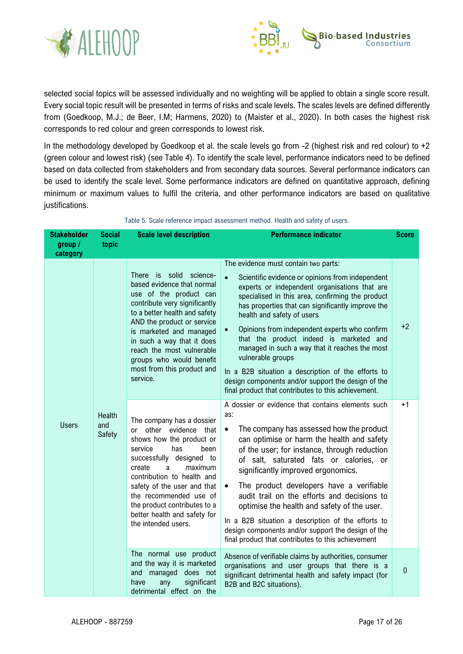



selected social topics will be assessed individually and no weighting will be applied to obtain a single score result. Every social topic result will be presented in terms of risks and scale levels. The scales levels are defined differently from (Goedkoop, M.J.; de Beer, I.M; Harmens, 2020) to (Maister et al., 2020). In both cases the highest risk corresponds to red colour and green corresponds to lowest risk.

In the methodology developed by Goedkoop et al. the scale levels go from -2 (highest risk and red colour) to +2 (green colour and lowest risk) (see Table 4). To identify the scale level, performance indicators need to be defined based on data collected from stakeholders and from secondary data sources. Several performance indicators can be used to identify the scale level. Some performance indicators are defined on quantitative approach, defining minimum or maximum values to fulfil the criteria, and other performance indicators are based on qualitative justifications.

| <b>Stakeholder</b>  | <b>Social</b>           | <b>Scale level description</b>                                                                                                                                                                                                                                                                                                                | <b>Performance indicator</b>                                                                                                                                                                                                                                                                                                                                                                                                                                                                                                                                                                                                                     | <b>Score</b> |
|---------------------|-------------------------|-----------------------------------------------------------------------------------------------------------------------------------------------------------------------------------------------------------------------------------------------------------------------------------------------------------------------------------------------|--------------------------------------------------------------------------------------------------------------------------------------------------------------------------------------------------------------------------------------------------------------------------------------------------------------------------------------------------------------------------------------------------------------------------------------------------------------------------------------------------------------------------------------------------------------------------------------------------------------------------------------------------|--------------|
| group /<br>category | topic                   |                                                                                                                                                                                                                                                                                                                                               |                                                                                                                                                                                                                                                                                                                                                                                                                                                                                                                                                                                                                                                  |              |
|                     |                         | There is solid science-<br>based evidence that normal<br>use of the product can<br>contribute very significantly<br>to a better health and safety<br>AND the product or service<br>is marketed and managed<br>in such a way that it does<br>reach the most vulnerable<br>groups who would benefit<br>most from this product and<br>service.   | The evidence must contain two parts:<br>Scientific evidence or opinions from independent<br>$\bullet$<br>experts or independent organisations that are<br>specialised in this area, confirming the product<br>has properties that can significantly improve the<br>health and safety of users<br>Opinions from independent experts who confirm<br>$\bullet$<br>that the product indeed is marketed and<br>managed in such a way that it reaches the most<br>vulnerable groups<br>In a B2B situation a description of the efforts to<br>design components and/or support the design of the<br>final product that contributes to this achievement. | $+2$         |
| <b>Users</b>        | Health<br>and<br>Safety | The company has a dossier<br>or other evidence that<br>shows how the product or<br>service<br>has<br>been<br>successfully designed to<br>create<br>maximum<br>a<br>contribution to health and<br>safety of the user and that<br>the recommended use of<br>the product contributes to a<br>better health and safety for<br>the intended users. | A dossier or evidence that contains elements such<br>as:<br>The company has assessed how the product<br>$\bullet$<br>can optimise or harm the health and safety<br>of the user; for instance, through reduction<br>of salt, saturated fats or calories, or<br>significantly improved ergonomics.<br>The product developers have a verifiable<br>$\bullet$<br>audit trail on the efforts and decisions to<br>optimise the health and safety of the user.<br>In a B2B situation a description of the efforts to<br>design components and/or support the design of the<br>final product that contributes to this achievement                        | $+1$         |
|                     |                         | The normal use product<br>and the way it is marketed<br>managed does not<br>and<br>significant<br>any<br>have<br>detrimental effect on the                                                                                                                                                                                                    | Absence of verifiable claims by authorities, consumer<br>organisations and user groups that there is a<br>significant detrimental health and safety impact (for<br>B2B and B2C situations).                                                                                                                                                                                                                                                                                                                                                                                                                                                      | $\mathbf 0$  |

Table 5. Scale reference impact assessment method. Health and safety of users.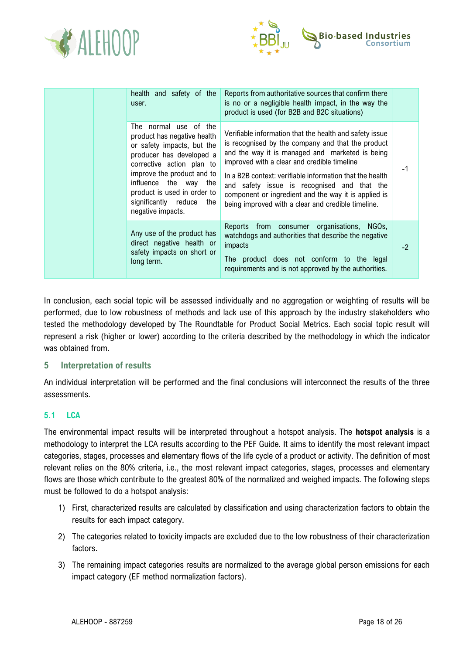



|  | health and safety of the<br>user.                                                                                                                                                                                                                                                  | Reports from authoritative sources that confirm there<br>is no or a negligible health impact, in the way the<br>product is used (for B2B and B2C situations)                                                                                                                                                                                                                                                                            |      |
|--|------------------------------------------------------------------------------------------------------------------------------------------------------------------------------------------------------------------------------------------------------------------------------------|-----------------------------------------------------------------------------------------------------------------------------------------------------------------------------------------------------------------------------------------------------------------------------------------------------------------------------------------------------------------------------------------------------------------------------------------|------|
|  | The normal use of the<br>product has negative health<br>or safety impacts, but the<br>producer has developed a<br>corrective action plan to<br>improve the product and to<br>influence the way the<br>product is used in order to<br>significantly reduce the<br>negative impacts. | Verifiable information that the health and safety issue<br>is recognised by the company and that the product<br>and the way it is managed and marketed is being<br>improved with a clear and credible timeline<br>In a B2B context: verifiable information that the health<br>and safety issue is recognised and that the<br>component or ingredient and the way it is applied is<br>being improved with a clear and credible timeline. | -1   |
|  | Any use of the product has<br>direct negative health or<br>safety impacts on short or<br>long term.                                                                                                                                                                                | Reports from consumer organisations, NGOs,<br>watchdogs and authorities that describe the negative<br>impacts<br>The product does not conform to the legal<br>requirements and is not approved by the authorities.                                                                                                                                                                                                                      | $-2$ |

In conclusion, each social topic will be assessed individually and no aggregation or weighting of results will be performed, due to low robustness of methods and lack use of this approach by the industry stakeholders who tested the methodology developed by The Roundtable for Product Social Metrics. Each social topic result will represent a risk (higher or lower) according to the criteria described by the methodology in which the indicator was obtained from.

## <span id="page-18-0"></span>**5 Interpretation of results**

An individual interpretation will be performed and the final conclusions will interconnect the results of the three assessments.

## <span id="page-18-1"></span>**5.1 LCA**

The environmental impact results will be interpreted throughout a hotspot analysis. The **hotspot analysis** is a methodology to interpret the LCA results according to the PEF Guide. It aims to identify the most relevant impact categories, stages, processes and elementary flows of the life cycle of a product or activity. The definition of most relevant relies on the 80% criteria, i.e., the most relevant impact categories, stages, processes and elementary flows are those which contribute to the greatest 80% of the normalized and weighed impacts. The following steps must be followed to do a hotspot analysis:

- 1) First, characterized results are calculated by classification and using characterization factors to obtain the results for each impact category.
- 2) The categories related to toxicity impacts are excluded due to the low robustness of their characterization factors.
- 3) The remaining impact categories results are normalized to the average global person emissions for each impact category (EF method normalization factors).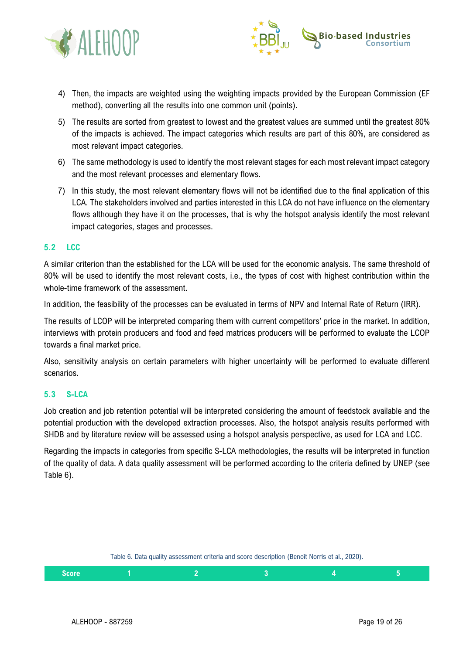



- 4) Then, the impacts are weighted using the weighting impacts provided by the European Commission (EF method), converting all the results into one common unit (points).
- 5) The results are sorted from greatest to lowest and the greatest values are summed until the greatest 80% of the impacts is achieved. The impact categories which results are part of this 80%, are considered as most relevant impact categories.
- 6) The same methodology is used to identify the most relevant stages for each most relevant impact category and the most relevant processes and elementary flows.
- 7) In this study, the most relevant elementary flows will not be identified due to the final application of this LCA. The stakeholders involved and parties interested in this LCA do not have influence on the elementary flows although they have it on the processes, that is why the hotspot analysis identify the most relevant impact categories, stages and processes.

## <span id="page-19-0"></span>**5.2 LCC**

A similar criterion than the established for the LCA will be used for the economic analysis. The same threshold of 80% will be used to identify the most relevant costs, i.e., the types of cost with highest contribution within the whole-time framework of the assessment.

In addition, the feasibility of the processes can be evaluated in terms of NPV and Internal Rate of Return (IRR).

The results of LCOP will be interpreted comparing them with current competitors' price in the market. In addition, interviews with protein producers and food and feed matrices producers will be performed to evaluate the LCOP towards a final market price.

Also, sensitivity analysis on certain parameters with higher uncertainty will be performed to evaluate different scenarios.

#### <span id="page-19-1"></span>**5.3 S-LCA**

Job creation and job retention potential will be interpreted considering the amount of feedstock available and the potential production with the developed extraction processes. Also, the hotspot analysis results performed with SHDB and by literature review will be assessed using a hotspot analysis perspective, as used for LCA and LCC.

Regarding the impacts in categories from specific S-LCA methodologies, the results will be interpreted in function of the quality of data. A data quality assessment will be performed according to the criteria defined by UNEP (see [Table 6\)](#page-19-2).

|  | Table 6. Data quality assessment criteria and score description (Benoît Norris et al., 2020). |
|--|-----------------------------------------------------------------------------------------------|

<span id="page-19-2"></span>

| Score:<br>ט וטטי |  |  |  |
|------------------|--|--|--|
|                  |  |  |  |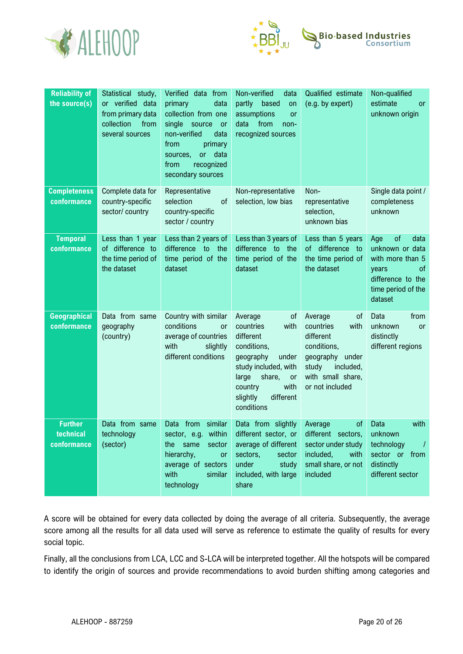



| <b>Reliability of</b><br>the source(s)     | Statistical study,<br>or verified data<br>from primary data<br>collection<br>from<br>several sources | Verified data from<br>data<br>primary<br>collection from one<br>single<br>source<br>$-$ or<br>non-verified<br>data<br>from<br>primary<br>or<br>data<br>sources,<br>from<br>recognized<br>secondary sources | Non-verified<br>data<br>partly<br>based<br>on<br>assumptions<br><b>or</b><br>data<br>from<br>non-<br>recognized sources                                                                         | Qualified estimate<br>(e.g. by expert)                                                                                                             | Non-qualified<br>estimate<br><b>or</b><br>unknown origin                                                                                 |
|--------------------------------------------|------------------------------------------------------------------------------------------------------|------------------------------------------------------------------------------------------------------------------------------------------------------------------------------------------------------------|-------------------------------------------------------------------------------------------------------------------------------------------------------------------------------------------------|----------------------------------------------------------------------------------------------------------------------------------------------------|------------------------------------------------------------------------------------------------------------------------------------------|
| <b>Completeness</b><br>conformance         | Complete data for<br>country-specific<br>sector/ country                                             | Representative<br>selection<br>0f<br>country-specific<br>sector / country                                                                                                                                  | Non-representative<br>selection, low bias                                                                                                                                                       | Non-<br>representative<br>selection,<br>unknown bias                                                                                               | Single data point /<br>completeness<br>unknown                                                                                           |
| <b>Temporal</b><br>conformance             | Less than 1 year<br>of difference to<br>the time period of<br>the dataset                            | Less than 2 years of<br>difference to the<br>time period of the<br>dataset                                                                                                                                 | Less than 3 years of<br>difference to the<br>time period of the<br>dataset                                                                                                                      | Less than 5 years<br>of difference to<br>the time period of<br>the dataset                                                                         | of<br>data<br>Age<br>unknown or data<br>with more than 5<br><sub>of</sub><br>years<br>difference to the<br>time period of the<br>dataset |
| Geographical<br>conformance                | Data from same<br>geography<br>(country)                                                             | Country with similar<br>conditions<br>or<br>average of countries<br>with<br>slightly<br>different conditions                                                                                               | Average<br>of<br>countries<br>with<br>different<br>conditions,<br>geography<br>under<br>study included, with<br>share,<br>large<br>or<br>with<br>country<br>different<br>slightly<br>conditions | Average<br>οf<br>countries<br>with<br>different<br>conditions,<br>under<br>geography<br>study<br>included,<br>with small share,<br>or not included | Data<br>from<br>unknown<br>or<br>distinctly<br>different regions                                                                         |
| <b>Further</b><br>technical<br>conformance | Data from same<br>technology<br>(sector)                                                             | similar<br>from<br>Data<br>sector, e.g. within<br>the same sector<br>hierarchy,<br>or<br>average of sectors<br>with<br>similar<br>technology                                                               | Data from slightly<br>different sector, or<br>average of different<br>sectors,<br>sector<br>under<br>study<br>included, with large<br>share                                                     | Average<br>0f<br>different sectors,<br>sector under study<br>included,<br>with<br>small share, or not<br>included                                  | Data<br>with<br>unknown<br>technology<br>$\sqrt{1}$<br>sector or from<br>distinctly<br>different sector                                  |

A score will be obtained for every data collected by doing the average of all criteria. Subsequently, the average score among all the results for all data used will serve as reference to estimate the quality of results for every social topic.

Finally, all the conclusions from LCA, LCC and S-LCA will be interpreted together. All the hotspots will be compared to identify the origin of sources and provide recommendations to avoid burden shifting among categories and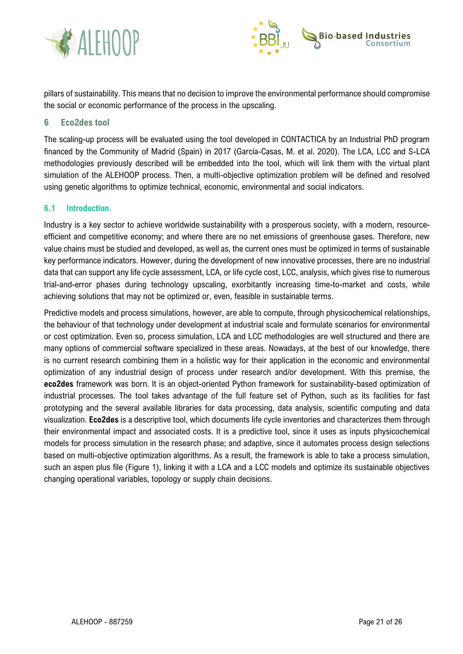



pillars of sustainability. This means that no decision to improve the environmental performance should compromise the social or economic performance of the process in the upscaling.

## <span id="page-21-0"></span>**6 Eco2des tool**

The scaling-up process will be evaluated using the tool developed in CONTACTICA by an Industrial PhD program financed by the Community of Madrid (Spain) in 2017 (García-Casas, M. et al. 2020). The LCA, LCC and S-LCA methodologies previously described will be embedded into the tool, which will link them with the virtual plant simulation of the ALEHOOP process. Then, a multi-objective optimization problem will be defined and resolved using genetic algorithms to optimize technical, economic, environmental and social indicators.

#### <span id="page-21-1"></span>**6.1 Introduction.**

Industry is a key sector to achieve worldwide sustainability with a prosperous society, with a modern, resourceefficient and competitive economy; and where there are no net emissions of greenhouse gases. Therefore, new value chains must be studied and developed, as well as, the current ones must be optimized in terms of sustainable key performance indicators. However, during the development of new innovative processes, there are no industrial data that can support any life cycle assessment, LCA, or life cycle cost, LCC, analysis, which gives rise to numerous trial-and-error phases during technology upscaling, exorbitantly increasing time-to-market and costs, while achieving solutions that may not be optimized or, even, feasible in sustainable terms.

Predictive models and process simulations, however, are able to compute, through physicochemical relationships, the behaviour of that technology under development at industrial scale and formulate scenarios for environmental or cost optimization. Even so, process simulation, LCA and LCC methodologies are well structured and there are many options of commercial software specialized in these areas. Nowadays, at the best of our knowledge, there is no current research combining them in a holistic way for their application in the economic and environmental optimization of any industrial design of process under research and/or development. With this premise, the **eco2des** framework was born. It is an object-oriented Python framework for sustainability-based optimization of industrial processes. The tool takes advantage of the full feature set of Python, such as its facilities for fast prototyping and the several available libraries for data processing, data analysis, scientific computing and data visualization. **Eco2des** is a descriptive tool, which documents life cycle inventories and characterizes them through their environmental impact and associated costs. It is a predictive tool, since it uses as inputs physicochemical models for process simulation in the research phase; and adaptive, since it automates process design selections based on multi-objective optimization algorithms. As a result, the framework is able to take a process simulation, such an aspen plus file (Figure 1), linking it with a LCA and a LCC models and optimize its sustainable objectives changing operational variables, topology or supply chain decisions.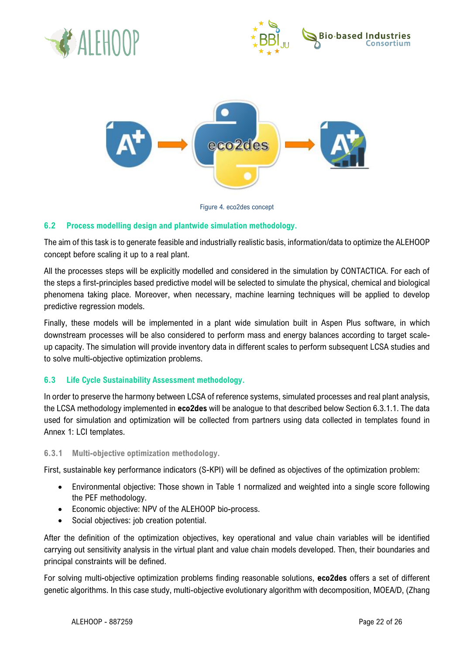





Figure 4. eco2des concept

## <span id="page-22-0"></span>**6.2 Process modelling design and plantwide simulation methodology.**

The aim of this task is to generate feasible and industrially realistic basis, information/data to optimize the ALEHOOP concept before scaling it up to a real plant.

All the processes steps will be explicitly modelled and considered in the simulation by CONTACTICA. For each of the steps a first-principles based predictive model will be selected to simulate the physical, chemical and biological phenomena taking place. Moreover, when necessary, machine learning techniques will be applied to develop predictive regression models.

Finally, these models will be implemented in a plant wide simulation built in Aspen Plus software, in which downstream processes will be also considered to perform mass and energy balances according to target scaleup capacity. The simulation will provide inventory data in different scales to perform subsequent LCSA studies and to solve multi-objective optimization problems.

## <span id="page-22-1"></span>**6.3 Life Cycle Sustainability Assessment methodology.**

In order to preserve the harmony between LCSA of reference systems, simulated processes and real plant analysis, the LCSA methodology implemented in **eco2des** will be analogue to that described below Section 6.3.1.1. The data used for simulation and optimization will be collected from partners using data collected in templates found in Annex 1: LCI templates.

#### <span id="page-22-2"></span>**6.3.1 Multi-objective optimization methodology.**

First, sustainable key performance indicators (S-KPI) will be defined as objectives of the optimization problem:

- Environmental objective: Those shown in Table 1 normalized and weighted into a single score following the PEF methodology.
- Economic objective: NPV of the ALEHOOP bio-process.
- Social objectives: job creation potential.

After the definition of the optimization objectives, key operational and value chain variables will be identified carrying out sensitivity analysis in the virtual plant and value chain models developed. Then, their boundaries and principal constraints will be defined.

For solving multi-objective optimization problems finding reasonable solutions, **eco2des** offers a set of different genetic algorithms. In this case study, multi-objective evolutionary algorithm with decomposition, MOEA/D, (Zhang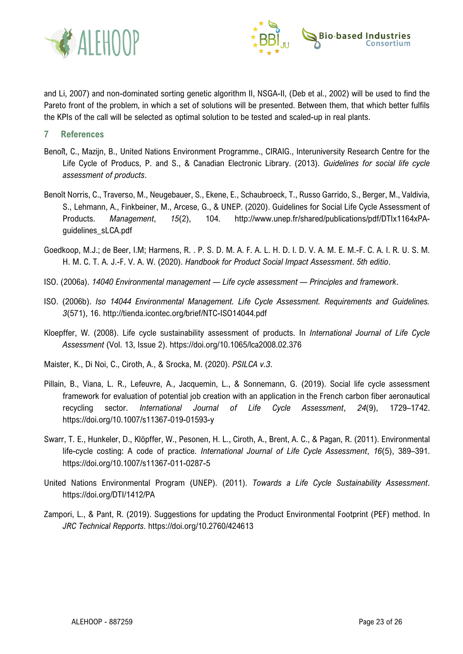



and Li, 2007) and non-dominated sorting genetic algorithm II, NSGA-II, (Deb et al., 2002) will be used to find the Pareto front of the problem, in which a set of solutions will be presented. Between them, that which better fulfils the KPIs of the call will be selected as optimal solution to be tested and scaled-up in real plants.

- <span id="page-23-0"></span>**7 References**
- Benoit, C., Mazijn, B., United Nations Environment Programme., CIRAIG., Interuniversity Research Centre for the Life Cycle of Producs, P. and S., & Canadian Electronic Library. (2013). *Guidelines for social life cycle assessment of products*.
- Benoît Norris, C., Traverso, M., Neugebauer, S., Ekene, E., Schaubroeck, T., Russo Garrido, S., Berger, M., Valdivia, S., Lehmann, A., Finkbeiner, M., Arcese, G., & UNEP. (2020). Guidelines for Social Life Cycle Assessment of Products. *Management*, *15*(2), 104. http://www.unep.fr/shared/publications/pdf/DTIx1164xPAguidelines\_sLCA.pdf
- Goedkoop, M.J.; de Beer, I.M; Harmens, R. . P. S. D. M. A. F. A. L. H. D. I. D. V. A. M. E. M.-F. C. A. I. R. U. S. M. H. M. C. T. A. J.-F. V. A. W. (2020). *Handbook for Product Social Impact Assessment*. *5th editio*.
- ISO. (2006a). *14040 Environmental management — Life cycle assessment — Principles and framework*.
- ISO. (2006b). *Iso 14044 Environmental Management. Life Cycle Assessment. Requirements and Guidelines. 3*(571), 16. http://tienda.icontec.org/brief/NTC-ISO14044.pdf
- Kloepffer, W. (2008). Life cycle sustainability assessment of products. In *International Journal of Life Cycle Assessment* (Vol. 13, Issue 2). https://doi.org/10.1065/lca2008.02.376
- Maister, K., Di Noi, C., Ciroth, A., & Srocka, M. (2020). *PSILCA v.3*.
- Pillain, B., Viana, L. R., Lefeuvre, A., Jacquemin, L., & Sonnemann, G. (2019). Social life cycle assessment framework for evaluation of potential job creation with an application in the French carbon fiber aeronautical recycling sector. *International Journal of Life Cycle Assessment*, *24*(9), 1729–1742. https://doi.org/10.1007/s11367-019-01593-y
- Swarr, T. E., Hunkeler, D., Klöpffer, W., Pesonen, H. L., Ciroth, A., Brent, A. C., & Pagan, R. (2011). Environmental life-cycle costing: A code of practice. *International Journal of Life Cycle Assessment*, *16*(5), 389–391. https://doi.org/10.1007/s11367-011-0287-5
- United Nations Environmental Program (UNEP). (2011). *Towards a Life Cycle Sustainability Assessment*. https://doi.org/DTI/1412/PA
- Zampori, L., & Pant, R. (2019). Suggestions for updating the Product Environmental Footprint (PEF) method. In *JRC Technical Repports*. https://doi.org/10.2760/424613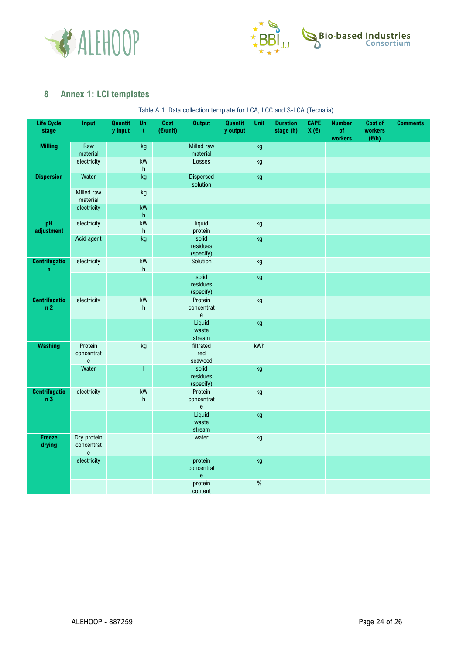



## <span id="page-24-0"></span>**8 Annex 1: LCI templates**

Table A 1. Data collection template for LCA, LCC and S-LCA (Tecnalia).

| <b>Life Cycle</b><br>stage             | Input                                                                   | Quantit<br>y input | Uni<br>$\mathbf t$          | Cost<br>(E/unit) | <b>Output</b>                                              | <b>Quantit</b><br>y output | Unit                   | <b>Duration</b><br>stage (h) | <b>CAPE</b><br>X(E) | <b>Number</b><br>of<br>workers | Cost of<br>workers<br>(E/h) | <b>Comments</b> |
|----------------------------------------|-------------------------------------------------------------------------|--------------------|-----------------------------|------------------|------------------------------------------------------------|----------------------------|------------------------|------------------------------|---------------------|--------------------------------|-----------------------------|-----------------|
| <b>Milling</b>                         | Raw                                                                     |                    | kg                          |                  | Milled raw                                                 |                            | kg                     |                              |                     |                                |                             |                 |
|                                        | material                                                                |                    |                             |                  | material                                                   |                            |                        |                              |                     |                                |                             |                 |
|                                        | electricity                                                             |                    | kW<br>h                     |                  | Losses                                                     |                            | $\mathsf{k}\mathsf{g}$ |                              |                     |                                |                             |                 |
| <b>Dispersion</b>                      | Water                                                                   |                    | kg                          |                  | <b>Dispersed</b><br>solution                               |                            | kg                     |                              |                     |                                |                             |                 |
|                                        | Milled raw<br>material                                                  |                    | kg                          |                  |                                                            |                            |                        |                              |                     |                                |                             |                 |
|                                        | electricity                                                             |                    | $\mathsf{k}\mathsf{W}$<br>h |                  |                                                            |                            |                        |                              |                     |                                |                             |                 |
| pH                                     | electricity                                                             |                    | kW                          |                  | liquid                                                     |                            | $\mathsf{k}\mathsf{g}$ |                              |                     |                                |                             |                 |
| adjustment                             |                                                                         |                    | $\boldsymbol{\mathsf{h}}$   |                  | protein                                                    |                            |                        |                              |                     |                                |                             |                 |
|                                        | Acid agent                                                              |                    | kg                          |                  | solid<br>residues<br>(specify)                             |                            | kg                     |                              |                     |                                |                             |                 |
| <b>Centrifugatio</b><br>$\mathbf n$    | electricity                                                             |                    | kW<br>h                     |                  | Solution                                                   |                            | $\mathsf{k}\mathsf{g}$ |                              |                     |                                |                             |                 |
|                                        |                                                                         |                    |                             |                  | solid<br>residues<br>(specify)                             |                            | kg                     |                              |                     |                                |                             |                 |
| <b>Centrifugatio</b><br>n2             | electricity                                                             |                    | kW<br>h                     |                  | Protein<br>concentrat<br>$\mathsf{e}% _{t}\left( t\right)$ |                            | $\mathsf{k}\mathsf{g}$ |                              |                     |                                |                             |                 |
|                                        |                                                                         |                    |                             |                  | Liquid<br>waste<br>stream                                  |                            | kg                     |                              |                     |                                |                             |                 |
| <b>Washing</b>                         | Protein<br>concentrat<br>$\mathsf{e}% _{0}\left( \mathsf{e}\right)$     |                    | kg                          |                  | filtrated<br>red<br>seaweed                                |                            | kWh                    |                              |                     |                                |                             |                 |
|                                        | Water                                                                   |                    | T                           |                  | solid<br>residues<br>(specify)                             |                            | kg                     |                              |                     |                                |                             |                 |
| <b>Centrifugatio</b><br>n <sub>3</sub> | electricity                                                             |                    | kW<br>h                     |                  | Protein<br>concentrat<br>e                                 |                            | $\mathsf{k}\mathsf{g}$ |                              |                     |                                |                             |                 |
|                                        |                                                                         |                    |                             |                  | Liquid<br>waste<br>stream                                  |                            | kg                     |                              |                     |                                |                             |                 |
| Freeze<br>drying                       | Dry protein<br>concentrat<br>$\mathsf{e}% _{0}\left( \mathsf{e}\right)$ |                    |                             |                  | water                                                      |                            | $\mathsf{k}\mathsf{g}$ |                              |                     |                                |                             |                 |
|                                        | electricity                                                             |                    |                             |                  | protein<br>concentrat<br>$\mathsf{e}$                      |                            | kg                     |                              |                     |                                |                             |                 |
|                                        |                                                                         |                    |                             |                  | protein<br>content                                         |                            | $\%$                   |                              |                     |                                |                             |                 |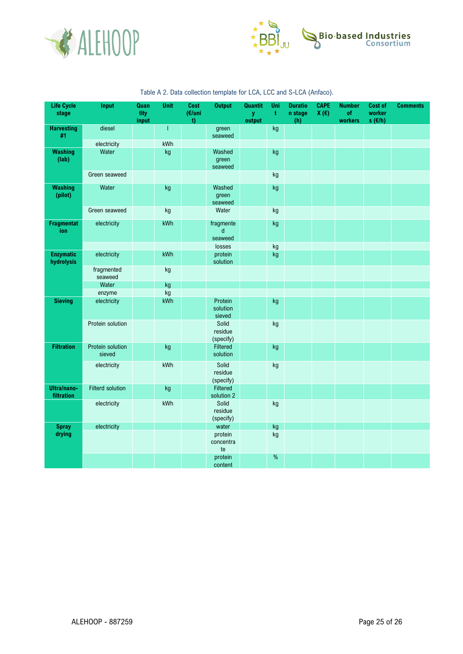



| <b>Life Cycle</b><br>stage     | Input                      | Quan<br>tity<br>input | <b>Unit</b> | Cost<br>(€/uni<br>$0$ | <b>Output</b>                        | <b>Quantit</b><br>y<br>output | Uni<br>ŧ               | <b>Duratio</b><br>n stage<br>(h) | <b>CAPE</b><br>$X(\epsilon)$ | <b>Number</b><br><b>of</b><br>workers | <b>Cost of</b><br>worker<br>s $(\epsilon/h)$ | <b>Comments</b> |
|--------------------------------|----------------------------|-----------------------|-------------|-----------------------|--------------------------------------|-------------------------------|------------------------|----------------------------------|------------------------------|---------------------------------------|----------------------------------------------|-----------------|
| <b>Harvesting</b><br>#1        | diesel                     |                       | 1           |                       | green<br>seaweed                     |                               | kg                     |                                  |                              |                                       |                                              |                 |
|                                | electricity                |                       | kWh         |                       |                                      |                               |                        |                                  |                              |                                       |                                              |                 |
| <b>Washing</b><br>(lab)        | Water                      |                       | kg          |                       | Washed<br>green<br>seaweed           |                               | kg                     |                                  |                              |                                       |                                              |                 |
|                                | Green seaweed              |                       |             |                       |                                      |                               | kg                     |                                  |                              |                                       |                                              |                 |
| <b>Washing</b><br>(pilot)      | Water                      |                       | kg          |                       | Washed<br>green<br>seaweed           |                               | kg                     |                                  |                              |                                       |                                              |                 |
|                                | Green seaweed              |                       | kg          |                       | Water                                |                               | $\mathsf{k}\mathsf{g}$ |                                  |                              |                                       |                                              |                 |
| <b>Fragmentat</b><br>ion       | electricity                |                       | kWh         |                       | fragmente<br>$\mathsf{d}$<br>seaweed |                               | kg                     |                                  |                              |                                       |                                              |                 |
|                                |                            |                       |             |                       | losses                               |                               | kg                     |                                  |                              |                                       |                                              |                 |
| <b>Enzymatic</b><br>hydrolysis | electricity                |                       | kWh         |                       | protein<br>solution                  |                               | kg                     |                                  |                              |                                       |                                              |                 |
|                                | fragmented<br>seaweed      |                       | kg          |                       |                                      |                               |                        |                                  |                              |                                       |                                              |                 |
|                                | Water                      |                       | kg          |                       |                                      |                               |                        |                                  |                              |                                       |                                              |                 |
|                                | enzyme                     |                       | kg          |                       |                                      |                               |                        |                                  |                              |                                       |                                              |                 |
| <b>Sieving</b>                 | electricity                |                       | kWh         |                       | Protein<br>solution<br>sieved        |                               | kg                     |                                  |                              |                                       |                                              |                 |
|                                | Protein solution           |                       |             |                       | Solid<br>residue<br>(specify)        |                               | kg                     |                                  |                              |                                       |                                              |                 |
| <b>Filtration</b>              | Protein solution<br>sieved |                       | kg          |                       | Filtered<br>solution                 |                               | kg                     |                                  |                              |                                       |                                              |                 |
|                                | electricity                |                       | kWh         |                       | Solid<br>residue<br>(specify)        |                               | kg                     |                                  |                              |                                       |                                              |                 |
| Ultra/nano-<br>filtration      | <b>Filterd solution</b>    |                       | kg          |                       | Filtered<br>solution 2               |                               |                        |                                  |                              |                                       |                                              |                 |
|                                | electricity                |                       | kWh         |                       | Solid<br>residue<br>(specify)        |                               | kg                     |                                  |                              |                                       |                                              |                 |
| <b>Spray</b>                   | electricity                |                       |             |                       | water                                |                               | kg                     |                                  |                              |                                       |                                              |                 |
| drying                         |                            |                       |             |                       | protein<br>concentra<br>te           |                               | kg                     |                                  |                              |                                       |                                              |                 |
|                                |                            |                       |             |                       | protein<br>content                   |                               | $\%$                   |                                  |                              |                                       |                                              |                 |

## Table A 2. Data collection template for LCA, LCC and S-LCA (Anfaco).